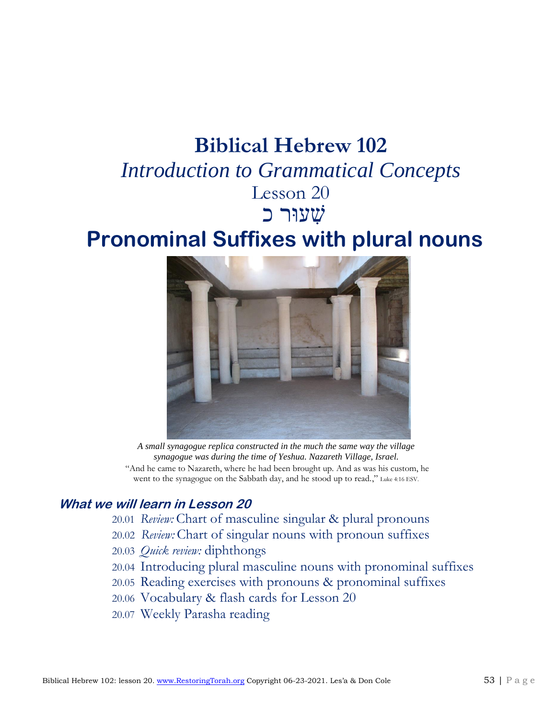# **Biblical Hebrew 102**

## *Introduction to Grammatical Concepts* Lesson 20

# שׁ ִעוּר כ

# **Pronominal Suffixes with plural nouns**



*A small synagogue replica constructed in the much the same way the village synagogue was during the time of Yeshua. Nazareth Village, Israel.* "And he came to Nazareth, where he had been brought up. And as was his custom, he went to the synagogue on the Sabbath day, and he stood up to read.," Luke 4:16 ESV.

#### **What we will learn in Lesson 20**

- 20.01 *Review:* Chart of masculine singular & plural pronouns
- 20.02 *Review:* Chart of singular nouns with pronoun suffixes
- 20.03 *Quick review:* diphthongs
- 20.04 Introducing plural masculine nouns with pronominal suffixes
- 20.05 Reading exercises with pronouns & pronominal suffixes
- 20.06 Vocabulary & flash cards for Lesson 20
- 20.07 Weekly Parasha reading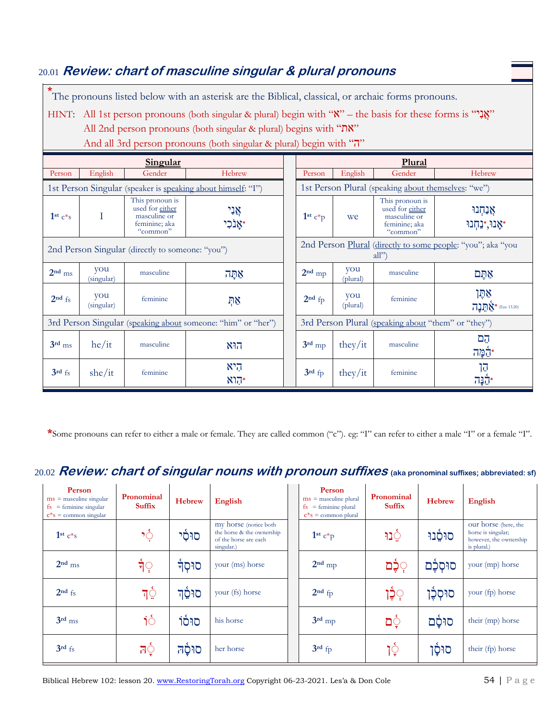### **Hebrew singular and plural personal pronouns** 20.01 **Review: chart of masculine singular & plural pronouns**

**\*** The pronouns listed below with an asterisk are the Biblical, classical, or archaic forms pronouns.

HINT: All 1st person pronouns (both singular & plural) begin with ""אֲגָל" – the basis for these forms is "אֲ

All 2nd person pronouns (both singular & plural) begins with "את"

|                                                              |                   | Singular                                                                        |                                                              |  | Plural                                                              |                 |                                                                                 |                                 |  |
|--------------------------------------------------------------|-------------------|---------------------------------------------------------------------------------|--------------------------------------------------------------|--|---------------------------------------------------------------------|-----------------|---------------------------------------------------------------------------------|---------------------------------|--|
| Person                                                       | English           | Gender                                                                          | Hebrew                                                       |  | Person                                                              | English         | Gender                                                                          | Hebrew                          |  |
|                                                              |                   |                                                                                 | 1st Person Singular (speaker is speaking about himself: "I") |  | 1st Person Plural (speaking about themselves: "we")                 |                 |                                                                                 |                                 |  |
| $1st c*s$                                                    | Τ                 | This pronoun is<br>used for either<br>masculine or<br>feminine; aka<br>"common" | אָנִי<br>אַנכִי*                                             |  | $1st c*p$                                                           | we              | This pronoun is<br>used for either<br>masculine or<br>feminine; aka<br>"common" | אַנַחִנוּ<br>אָנוּ,*נַחִנוּ*    |  |
| 2nd Person Singular (directly to someone: "you")             |                   |                                                                                 |                                                              |  | 2nd Person Plural (directly to some people: "you"; aka "you<br>all' |                 |                                                                                 |                                 |  |
| $2nd$ ms                                                     | you<br>(singular) | masculine                                                                       | אַתָּה                                                       |  | $2nd$ mp                                                            | you<br>(plural) | masculine                                                                       | אתם                             |  |
| $2nd$ fs                                                     | you<br>(singular) | feminine                                                                        | ኯ፠                                                           |  | $2nd$ fp                                                            | you<br>(plural) | feminine                                                                        | אַמַן<br>$717$ $\&$ (Eze 13:20) |  |
| 3rd Person Singular (speaking about someone: "him" or "her") |                   |                                                                                 |                                                              |  |                                                                     |                 | 3rd Person Plural (speaking about "them" or "they")                             |                                 |  |
| $3rd$ ms                                                     | he/it             | masculine                                                                       | הוא                                                          |  | $3rd$ mp                                                            | they/it         | masculine                                                                       | הֲם<br>*הֶמָּה                  |  |
| $3rd$ fs                                                     | she/it            | feminine                                                                        | היא<br>הוא                                                   |  | $3rd$ fp                                                            | they/it         | feminine                                                                        | הן<br>יקנה <sup>.</sup>         |  |

And all 3rd person pronouns (both singular & plural) begin with "ה"

**\***Some pronouns can refer to either a male or female. They are called common ("c"). eg: "I" can refer to either a male "I" or a female "I".

## 20.02  $\bm{Review:}$  chart of singular nouns with pronoun suffixes (aka pronominal suffixes; abbreviated: sf)

| Person<br>$ms =$ masculine singular<br>$=$ feminine singular<br>fs<br>$c$ <sup>*</sup> s = common singular | Pronominal<br><b>Suffix</b> | <b>Hebrew</b> | English                                                                                    | Person<br>$ms =$ masculine plural<br>$fs = feminine plural$<br>$c$ <sup>*</sup> s = common plural | Pronominal<br><b>Suffix</b> | <b>Hebrew</b> | <b>English</b>                                                                      |
|------------------------------------------------------------------------------------------------------------|-----------------------------|---------------|--------------------------------------------------------------------------------------------|---------------------------------------------------------------------------------------------------|-----------------------------|---------------|-------------------------------------------------------------------------------------|
| $1st c*s$                                                                                                  | १े                          | סוּסֿי        | my horse (notice both)<br>the horse & the ownership<br>of the horse are each<br>singular.) | $1st c*p$                                                                                         | া়ু                         | סוּסָנוּ      | our horse (here, the<br>horse is singular;<br>however, the ownership<br>is plural.) |
| $2nd$ ms                                                                                                   | र्न <b>़</b>                | סוּסְדֿ       | your (ms) horse                                                                            | $2nd$ mp                                                                                          | ְיָכֶּם                     | סוּסְכֶם      | your (mp) horse                                                                     |
| $2nd$ fs                                                                                                   | न्े                         | סוּסֶד        | your (fs) horse                                                                            | $2nd$ fp                                                                                          | ְיָכֶן                      | סוּסִכֵּן     | your (fp) horse                                                                     |
| $3rd$ ms                                                                                                   | १ं                          | סוּסֿוֹ       | his horse                                                                                  | $3rd$ mp                                                                                          | ַם                          | סוּסֹם        | their (mp) horse                                                                    |
| $3rd$ fs                                                                                                   | त्ै                         | סוּסֿה        | her horse                                                                                  | $3rd$ fp                                                                                          | १़े                         | סוּסַן        | their (fp) horse                                                                    |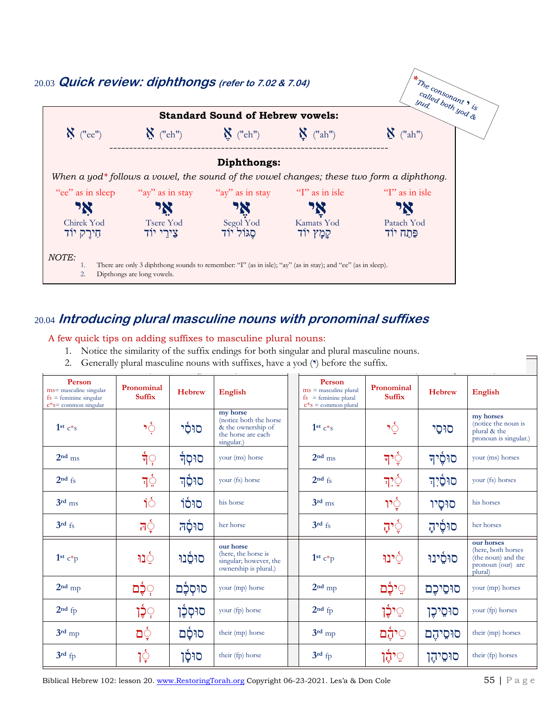

#### 20.04 **Introducing plural masculine nouns with pronominal suffixes**

#### A few quick tips on adding suffixes to masculine plural nouns:

- 1. Notice the similarity of the suffix endings for both singular and plural masculine nouns.
- 2. Generally plural masculine nouns with suffixes, have a yod (**\***) before the suffix.

| Person<br>ms= masculine singular<br>$fs =$ feminine singular<br>$c$ *s= common singular | Pronominal<br><b>Suffix</b> | <b>Hebrew</b>  | <b>English</b>                                                                                | Person<br>$ms =$ masculine plural<br>$fs = feminine plural$<br>$c*s = common plural$ | Pronominal<br><b>Suffix</b> | <b>Hebrew</b> | English                                                                                |
|-----------------------------------------------------------------------------------------|-----------------------------|----------------|-----------------------------------------------------------------------------------------------|--------------------------------------------------------------------------------------|-----------------------------|---------------|----------------------------------------------------------------------------------------|
| $1st c*s$                                                                               | १ूँ                         | ּהָל           | my horse<br>(notice both the horse)<br>& the ownership of<br>the horse are each<br>singular.) | $1st c*s$                                                                            | १ुँ                         | סוּסַי        | my horses<br>(notice the noun is<br>plural & the<br>pronoun is singular.)              |
| $2nd$ ms                                                                                | र्न <b>़</b>                | <b>ּ</b> קֶבּֿ | your (ms) horse                                                                               | $2nd$ ms                                                                             | न'े़                        | סוּסֵיד       | your (ms) horses                                                                       |
| $2nd$ fs                                                                                | न्ु<br>न                    | סוּסֶד         | your (fs) horse                                                                               | $2nd$ fs                                                                             | নৃ`ু                        | סוּסַֿיִך     | your (fs) horses                                                                       |
| $3rd$ ms                                                                                | $\acute{\sigma}$            | סוּסֿוֹ        | his horse                                                                                     | $3rd$ ms                                                                             | ेٍיץ                        | סוּסָיו       | his horses                                                                             |
| 3rd fs                                                                                  | $\vec{\sigma}$ ित           | סוּסַָה        | her horse                                                                                     | $3rd$ fs                                                                             | ੍ਰਾਂ                        | סוּסָיהָ      | her horses                                                                             |
| $1st c*p$                                                                               | ำฺ⊇                         | סוּסָנוּ       | our horse<br>(here, the horse is<br>singular; however, the<br>ownership is plural.)           | $1st c*p$                                                                            | ּוֹי                        | סוּסֱינוּ     | our horses<br>(here, both horses<br>(the noun) and the<br>pronoun (our) are<br>plural) |
| $2nd$ mp                                                                                | ़כֶּֽٰם                     | סוּסְכֶּם      | your (mp) horse                                                                               | $2nd$ mp                                                                             | ּיָלֵם                      | סוּסֵיכֵם     | your (mp) horses                                                                       |
| $2nd$ fp                                                                                | ۭۮۭ <del>ڋ</del> ٳ          | סוּסְכֶּ֫ן     | your (fp) horse                                                                               | $2nd$ fp                                                                             | ְיָבֶ֫ <del>ן</del>         | סוּסֵיכֵן     | your (fp) horses                                                                       |
| $3rd$ mp                                                                                | dŞ                          | סוּסָָם        | their (mp) horse                                                                              | $3rd$ mp                                                                             | ूיהֶׄם                      | סוּסֵיהֵם     | their (mp) horses                                                                      |
| $3rd$ fp                                                                                | १ूँ                         | סוּסָ֫ן        | their (fp) horse                                                                              | $3rd$ fp                                                                             | ְּי <del>ֶהָ</del>          | סוּסֵיהֵן     | their (fp) horses                                                                      |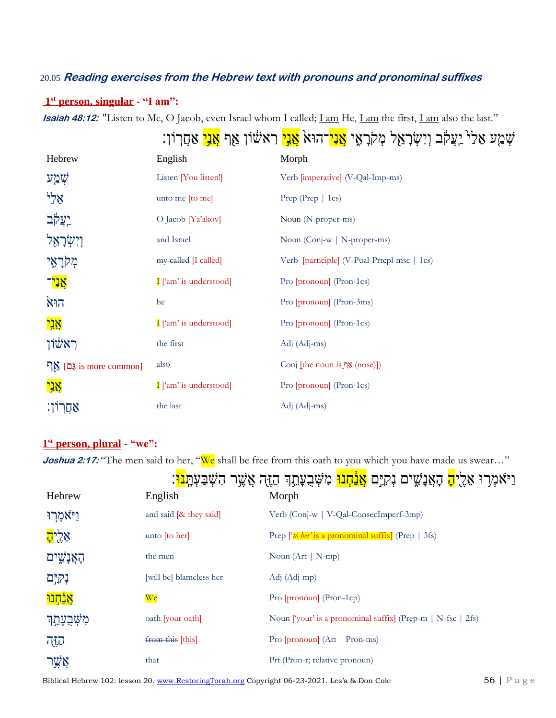#### 20.05 **Reading exercises from the Hebrew text with pronouns and pronominal suffixes**

<u>and</u>

#### **1 st person, singular - "I am":**

**Isaiah 48:12:** ["Listen](http://biblehub.com/hebrew/8085.htm) [to Me, O Jacob,](http://biblehub.com/hebrew/3290.htm) [even Israel](http://biblehub.com/hebrew/3478.htm) [whom I called;](http://biblehub.com/hebrew/7121.htm) *[I am](http://biblehub.com/hebrew/637.htm) He*, *I am the first*, *I am also [the last.](http://biblehub.com/hebrew/314.htm)*"

|        |                      | ּשְׁמַע אַל <sup>ַל</sup> יִעֲקֹב וְיִשְׂרָאֵל מְקֹרָאָי <mark>אֲנִי</mark> ־הוּאֹ <mark>אָנִי</mark> ראשׁוֹן אַף <mark>אַנִי</mark> אַחֲרוֹן: |
|--------|----------------------|------------------------------------------------------------------------------------------------------------------------------------------------|
| Hebrew | English              | Morph                                                                                                                                          |
| שְׁמַע | Listen [You listen!] | Verb [imperative] (V-Qal-Imp-ms)                                                                                                               |

| ਪ∂ਰੰਨ                           | Listen   $\chi$ ou listen!     | verb limperative (v-Qai-Imp-ms)                |
|---------------------------------|--------------------------------|------------------------------------------------|
| אֵל                             | unto me [to me]                | Prep (Prep   1cs)                              |
| יִעֲק <mark>וֹב</mark>          | $\overline{O}$ Jacob [Ya'akov] | Noun (N-proper-ms)                             |
| וִישִׂרַאֵל                     | and Israel                     | Noun (Conj-w   N-proper-ms)                    |
| מְקֹרָאֶי                       | $my$ called [I called]         | Verb [participle] (V-Pual-Prtcpl-msc   1cs)    |
| <mark>אַנִי</mark> ־            | I ['am' is understood]         | Pro [pronoun] (Pron-1cs)                       |
| הוא                             | he                             | Pro [pronoun] (Pron-3ms)                       |
| אֲנִי                           | I ['am' is understood]         | Pro [pronoun] (Pron-1cs)                       |
| ראשׂון                          | the first                      | $Adj (Adj - ms)$                               |
| <u>גַם]</u> אַף is more common] | also                           | $\text{Conj}$ [the noun is $\text{N}$ (nose)]) |
| אֲנִי                           | I ['am' is understood]         | Pro [pronoun] (Pron-1cs)                       |
| אַחֲרון.                        | the last                       | $Adj (Adj - ms)$                               |

#### **1 st person, plural - "we":**

**Joshua 2:17:** "The men said to her, "We shall be free from this oath to you which you have made us swear..."

| Hebrew                 | English                  | Morph                                                             |
|------------------------|--------------------------|-------------------------------------------------------------------|
| וַיֹּאמְרוּ            | and said $[& they said]$ | Verb (Conj-w   V-Qal-ConsecImperf-3mp)                            |
| אֵלֻי <mark>ה</mark> ָ | unto [to her]            | Prep [ <i>'to her'</i> is a pronominal suffix] (Prep $\vert$ 3fs) |
| הָאֲנָשִׁים            | the men                  | Noun $(Art   N-mp)$                                               |
| נְקיָם                 | [will be] blameless her  | Adj (Adj-mp)                                                      |
| <u>אַנְׁחָנוּ</u>      | <u>We</u>                | Pro [pronoun] (Pron-1cp)                                          |
| מִשָּׁבְעָתֵך          | oath [your oath]         | Noun ['your' is a pronominal suffix] (Prep-m   N-fsc   2fs)       |
| កក្រ                   | from this [this]         | Pro [pronoun] (Art   Pron-ms)                                     |
| אֲשֱר                  | that                     | Prt (Pron-r; relative pronoun)                                    |

Biblical Hebrew 102: lesson 20. [www.RestoringTorah.org](http://www.restoringtorah.org/) Copyright 06-23-2021. Les'a & Don Cole 56 | P a g e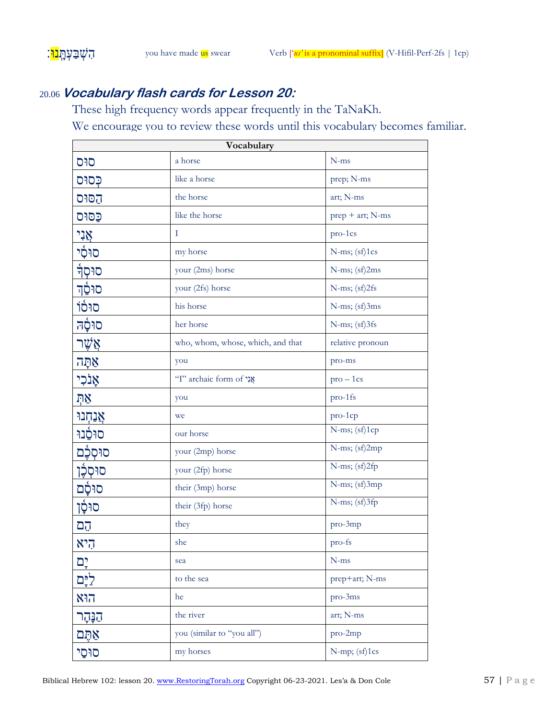### 20.06 **Vocabulary flash cards for Lesson 20:**

These high frequency words appear frequently in the TaNaKh. We encourage you to review these words until this vocabulary becomes familiar.

| Vocabulary      |                                   |                    |  |
|-----------------|-----------------------------------|--------------------|--|
| סוּס            | a horse                           | $N$ -ms            |  |
| פִּסוּס         | like a horse                      | prep; N-ms         |  |
| הַסּוּס         | the horse                         | art; N-ms          |  |
| פַסוּס          | like the horse                    | prep + art; N-ms   |  |
|                 | T                                 | pro-1cs            |  |
| אֲנִי<br>סוּסִי | my horse                          | $N$ -ms; $(sf)1cs$ |  |
| <b>ֿ</b> ֿפֿול  | your (2ms) horse                  | N-ms; (sf)2ms      |  |
| סוּסֵד          | your (2fs) horse                  | $N$ -ms; $(sf)2fs$ |  |
| סוּסֿוֹ         | his horse                         | N-ms; (sf)3ms      |  |
| סוּסָָה         | her horse                         | N-ms; (sf)3fs      |  |
| אֲשֶׁר          | who, whom, whose, which, and that | relative pronoun   |  |
| אַתָּה          | you                               | pro-ms             |  |
| אָנֹכִי         | "I" archaic form of אֲנִי         | $pro-1cs$          |  |
| ņγ              | you                               | pro-1fs            |  |
| אֲנַחְנוּ       | we                                | pro-1cp            |  |
| סוּסָנוּ        | our horse                         | N-ms; (sf)1cp      |  |
| סוּסְכָּם       | your (2mp) horse                  | N-ms; (sf)2mp      |  |
| סוּסְכֶּן       | your (2fp) horse                  | N-ms; (sf)2fp      |  |
| סוּסָ֫ם         | their (3mp) horse                 | N-ms; (sf)3mp      |  |
| סוּסָן          | their (3fp) horse                 | N-ms; (sf)3fp      |  |
| הֲם             | they                              | pro-3mp            |  |
| היא             | she                               | pro-fs             |  |
| יָם;            | sea                               | $N$ -ms            |  |
| ליָם            | to the sea                        | prep+art; N-ms     |  |
| הוא             | he                                | pro-3ms            |  |
| הַנְּהָר        | the river                         | art; N-ms          |  |
| אִתֶּם          | you (similar to "you all")        | pro-2mp            |  |
| סוּסַי          | my horses                         | N-mp; (sf)1cs      |  |